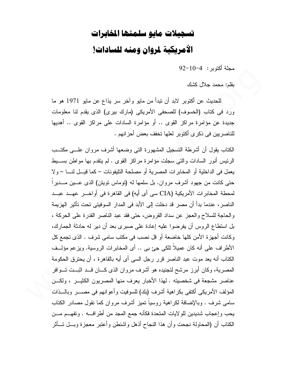## تسجيلات مايو سلمتها المخابرات الأمريكية لمروان ومنه للسادات!

مجلة أكتوبر : 4−10−4

بقلم: محمد جلال كشك

للحديث عن أكتوبر لابد أن نبدأ من مايو وأخر سر يذاع عن مايو 1971 هو ما ورد في كتاب (الخسوف) للصحفى الأمريكي (مارك بيري) الذي يقدم لنا معلومات جديدة عن مؤامرة مراكز القوى .. أو مؤامرة السادات على مراكز القوى .. أهديها للناصر بين في ذكر ي أكتوبر العلها تخفف بعض أحز انهم .

الكتاب يقول أن أشرطة التسجيل المشهورة التبي وضعها أشرف مروان علسى مكتــب الرئيس أنور السادات والتي سجلت مؤامرة مراكز القوى . لم يتقدم بها مواطن بســـبط يعمل في الداخلية أو المخابرات المصرية أو مصلحة التليفونات – كما قيـــل لنــــا – ولا حتى كانت من جهود أشرف مروان. بل سلمها له (توماس تويتن) الذي عـــين مـــدير اً لمحطة المخابرات الأمريكية (CIA سي أي أيه) في القاهرة في أواخـــر عهـــد عبـــد الناصر ، عندما بدأ أن مصر قد دخلت إلى الأبد في المدار السوفيتي تحت تأثير الهزيمة والحاجة للسلاح والعجز عن سداد القروض، حتى فقد عبد الناصر القدرة على الحركة ، بل استطاع الروس أن يفرضوا عليه إعادة على صبر ي بعد أن دير له حادثة الجمارك، وكانت أجهزة الأمن كلها خاضعة أو قل نصب في مكتب سامي شرف . الذي تجمع كل الأطراف على أنه كان عميلاً للكي جئ بي .. أي المخابرات الروسية. ويزعم مؤلَّــف الكتاب أنه يعد موت عبد الناصر قرر رجل السي أي أيه بالقاهرة ، أن يحترق الحكومة المصرية، وكان أبرز مرشح لتجنيده هو أشرف مروان الذي كـــان قـــد اثبــت تـــوافر عناصر مشجعة في شخصيته . لهذا الأخبار يعرف منها المصريون الكثيــر ، ولكـــن المؤلف الأمريكي أكتفي بكراهية أشرف (بك) للسوفيت وأعوانهم في مصــــر وبالــــذات سامي شرف . وبالإضافة لكراهية روسياً تميز أشرف مروان كما نقول مصادر الكتاب يحب وإعجاب شديدين للو لايات المتحدة فكأنه جمع المجد من أطرافـــه . وتفهـــم مـــن الكتاب أن (المحاولة نجحت وأن هذا النجاح أذهل واشنطن وأعتبر معجزة وبسل تسأثر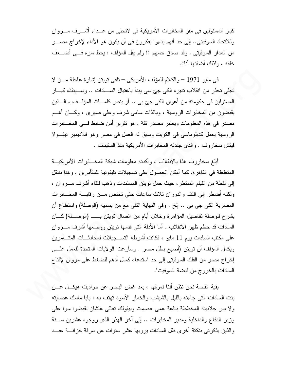كبار المسئولين في مقر المخابرات الأمريكية في لانجلي من عــداء أشـــرف مـــروان وللاتحاد السوفيتي.. إلى حد أنهم بدءوا يفكرون في أن يكون هو الأداء لإخراج مصــــــر من المدار السوفيتي . وقد صدق حسهم !! ولم يقل المؤلف : يحط سره فـــي أضــــعف خلقه ، ولذلك أضفتها أنا!.

في مايو 1971 – والكلام للمؤلف الأمريكي – نلقى نويتن إشارة عاجلة مـــن لا تجلَّى تحذَّر من انقلاب نديره الكي جئ سي ببدأ باغتيال الســـادات .. وســـينفذه كبـــار المسئولين في حكومته من أعوان الكي جيَّ بي .. أو ينص كلمـــات المؤلـــف ، الــــذين يقبضون من المخابرات الروسية ، وبالذات سامي شرف وعلى صبرى ، وكـــان أهـــم مصدر في هذه المعلومات ويعتبر مصدر ثقة . هو نقرير أمن ضابط فـــي المخــــابرات الروسية بعمل كدبلوماسي في الكويت وسبق له العمل في مصر وهو فلاديمير نيقـولا فيتش سخار وف . والذي جندته المخابر ات الأمر يكية منذ الستينات .

أبلغ سخاروف هذا بالانقلاب ، وأكدته معلومات شبكة المخـــابرات الأمريكيـــة المتغلغلة في القاهر ة. كما أمكن الحصول على تسجيلات تليفونية للمتآمرين . وهنا ننتقل إلى لقطة من الفيلم المنتظر، حيث حمل نويتن المستندات وذهب للقاء أشرف مـــروان ، ولكنه أضطر إلى اللف والدوران ثلاث ساعات حتى تخلص مـــن رقابـــة المخــــابرات المصرية الكي جي بي .. إلخ . وفي النهاية النقي مع من يسميه (الوصلة) واستطاع أن السادات قد حطم ظهر الانقلاب . أما الأدلة التي قدمها تويتن ووضعها أشرف مـــروان على مكتب السادات بوم 11 مايو ، فكانت أشرطه التســجيلات لمحادثـــات المتــــأمرين ويكمل المؤلف أن تويتن (أصبح بطل مصر . وسارعت الولايات المتحدة للعمل علـــى إخر اج مصر ٍ من الفلك السوفيتي إلى حد استدعاء كمال أدهم للضغط على مر و إن لإقناع السادات بالخر وج من قبضبة السوفيت".

بقية القصـة نـحن نظن أننا نـعرفها ، بـعد غض البصـر عن حواديت هيكـــل عـــن ا بنت السادات التي جاءته بالليل بالشبشب والخمار الأسود تهتف به : بابا ماسك عصابته ولا بس جلابيته المخططة بتاعة عمى عصمت وبيقولك تعالى علشان تقبضوا سوا على وزير الدفاع والداخلية ومدير المخابرات .. إلى أخر الهذر الذي روجوه عشرين ســـنة والذين يذكرني بنكتة أخرى ظل السادات يرويها عشر سنوات عن سرقة خزانسة عبــد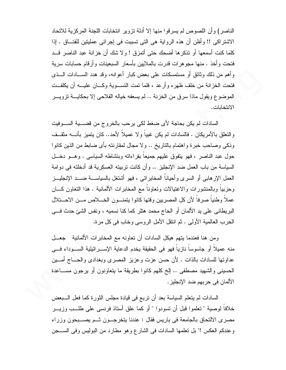الناصر ) و أن اللصوص لم يسر فو ا منها إلا أدلة نز و ير انتخابات اللجنة المركز ية للاتحاد الاشتر اكبي !! و أظن أن هذه الرو اية هي التي تسببت في إجرائي عمليتين للفتـــاق . إذا كلما كنت أسمعها أو تذكر ها أضحك حتى أتمزق ! و لا شك أن خز انة عبد الناصر قــد فتحت وأخذ . منها مجوهرات قدرت بالملايين بأسعار السبعينات وأرقام حسابات سرية وأهم من ذلك وثائق أو مستمسكات على بعض كبار أعوانه، وقد هدد الســــادات الــــذي فتحت الخزانة من خلف ظهره وأرعد ، فلما نمت النســـوية وكــــان عليــــه أن يكلفــت الموضوع ويقول ماذا سرق من الخزنة .. لم يسعفه خياله الفلاحي إلا بحكايـــة نزويـــر الانتخابات.

السادات لم يكن بحاجة لأي ضغط لكي يرحب بالخروج من قضــــية الســـوفيت والتعلق بالأمر يكان . فالسادات لم يكن غبياً و لا عميلاً لأحد.. كان يتميز بأنــــه مثقــف وذكي وصاحب خبرة واهتمام بالتاريخ .. ولا مجال لمقارنته بأي ضابط من الذين كانوا حول عبد الناصر ، فهو يتفوق عليهم جميعاً بقر اءاته وبنشاطه السياسي . وهسو دخــل السياسة من باب العمل ضد الإنجليز .. وأن كانت تربيته العسكرية قد أدخلته في دوامة العمل الإرهابي أو السرى وأحياناً المخابر اتبي ، فهو أشتغل بالسياســـة ضــــد الإنجليـــز وحزبياً وبالمنشورات والاغتيالات وتعاوناً مع المخابرات الألمانية . هذا التعاون كـــان عملاً وطنياً صرفاً لأن كل المصريين وقتها كانوا يتمنــون الخـــلاص مـــن الاحـــنلال البريطاني على يد الألمان أو الحاج محمد هتلر كما كنا نسميه ، ونفس الشئ حدث فسي الحرب العالمية الأولى . ثم انتقل الأمل الروسي وخاب في كل مرة.

ومن هنا فعندما يتهم هيكل السادات أن تعاونه مع المخابرات الألمانية جعــل منه عميلاً أو جاسوساً نازياً فهو في الحقيقة يخدم الدعاية الإســـرائيلية الســـوداء فــــى عداوتها للسادات بالذات . لأن حسن عزت وعزيز المصرى وبغدادى والحساج أمسين الحسيني والشهيد مصطفى .. إلخ كلهم كانوا بطريقة ما يتعاونون أو يرجون مســـاعدة الألمان في حربهم ضد الإنجليز .

السادات لم يتعلَّم السياسة بعد أن نربع في قيادة مجلس الثورة كما فعل الـــبعض خلافاً لوصية " تعلموا قبل أن تسودوا " أو كما علق أستاذ فرنسي على طلــب وزيـــر مصرى الالتحاق بالجامعة في باريس فقال : عندنا يتخرجــون ثــم يصـــبحون وزراء وعندكم العكس !" بل تعلمها السادات في الشارع وهو مطارد من البوليس وفي الســـجن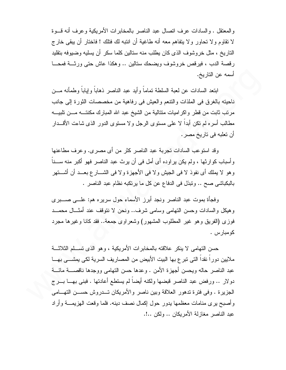والمعتقل . والسادات عرف انصال عبد الناصر بالمخابرات الأمريكية وعرف أنه قسوة لا نقاوم ولا تحاور ولا يتفاهم معه أنه طاغية أن انتبه لك فتلك ! فاختار أن يبقى خارج النار يخ ، مثل خر و شوف الذي كان يطلب منه ستالين كلما سكر ٍ أن يسليه و ضبو فه بتقليد رقصة الدب ، فيرقص خروشوف ويضحك ستالين .. وهكذا عاش حتى ورثـــة فمحـــا أسمه عن التار يخ.

ابنعد السادات عن لعبة السلطة نماماً وأيد عبد الناصر ذهاباً وإياباً وطمأنه مـــن ناحيته بالغرق في الملذات والنتعم والعيش في رفاهية من مخصصات الثورة إلى جانب مر تب ثابت من قطر و اكر اميات متتالية من الشيخ عبد الله المبارك مكنتـــه مـــن تلبيـــه مطالب أسره لم نكن أبدا لا على مسنوى الرجل ولا مسنوى الدور الذى شاءت الأقـــدار أن تعلبه في تاريخ مصر .

وقد استوعب السادات تجربة عبد الناصر كثر من أي مصري. وعرف مطاعنها و أسباب كو ارثها ، ولم يكن ير اوده أي أمل في أن يرث عبد الناصر فهو أكبر منه ســـناً و هو لا يملك أي نفوذ لا في الجيش و لا في الأجهز ة و لا في الشـــار ع بعـــد أن أشـــتهر بالبكباشي صح .. ونبذل في الدفاع عن كل ما يرتكبه نظام عبد الناصر .

وفجأة بموت عبد الناصر ونجد أبرز الأسماء حول سريره هم: علـــي صـــــبري و هيكل و السادات و حسن التهامي وسامي شرف.. ونحن لا نتوقف عند أمثـــال محمـــد فوزي (الفريق وهو غير المطلوب المشهور) وشعراوي جمعة.. فقد كانا وغيرها مجرد كو مبار س

حسن التهامي لا ينكر علاقته بالمخابرات الأمريكية ، و هو الذي تســـلم الثلاثـــة ملايين دورا نقدا التي نبرع بها البيت الأبيض من المصاريف السرية لكي يمشـــي بهـــا عبد الناصر حاله وبحسن أجهز ة الأمن . وعدها حسن التهامي ووجدها ناقصــــة مائــــة دولار .. ورفض عبد الناصر قبضها ولكنه أيضاً لم يستطع أعادتها . فبني بهـــا بـــرج الجزيرة . وفي فترة تدهور العلاقة وبين ناصر والأمريكان تـــدروش حســـن التهـــامـي وأصبح يرى منامات معظمها يدور حول إكمال نصف دينه. فلما وقعت الهزيمــــة وأراد عبد الناصر مغازلة الأمريكان .. ولكن ..!.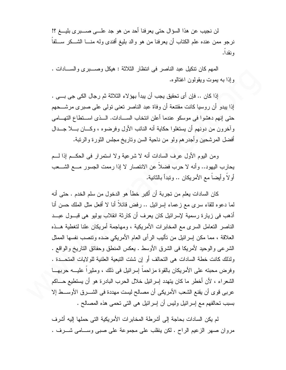لن نجيب عن هذا السؤال حتى يعرفنا أحد من هو جد علـــي صـــــبر ي بليــــغ ؟! نرجو ممن عنده علم الكتاب أن يعرفنا من هو والد بليغ أفندي وله منــــا الشـــكر ســــلفا و نقدا.

المهم كان نتكيل عبد الناصر في انتظار الثلاثة : هيكل وصـــبرى والســـادات . وإذا به بموت ويقولون اغتالوه.

إذا كان .. فإن أي تحقيق يجب أن يبدأ بهؤلاء الثلاثة ثم رجال الكي جي بــي . إذا يبدو أن روسيا كانت مقتنعة أن وفاة عبد الناصر تعني تولَّى على صبر ي مرشَّـــحهم حتى إنهم دهشوا في موسكو عندما أعلن انتخاب السسادات. الــذي اســنطاع التهــامي و آخر و ن من دونهم أن يستغلو ا حكاية أنه النائب الأول وفر ضوه ، وكـــان بــــلا جـــدال أفضل المرشحين وأجدرهم ولو من ناحية السن وناريخ مجلس الثورة والرنبة.

ومن اليوم الأول عرف السادات أنه لا شرعية ولا استمرار في الحكــم إذا لـــم يحارب اليهود.. وأنه لا حرب فضلا عن الانتصار لا إذا رممت الجسور مـــع الشـــعب أو لاَ و أيضاً مع الأمريكان .. وتبدأ بالثانية.

كان السادات يعلم من تجربة أن أكبر خطأ هو الدخول من سلم الخدم . حتى أنه لما دعوه للقاء سرى مع زعماء إسرائيل .. رفض قائلاً أنا لا أفعل مثل الملك حسن أنا أذهب في زيار ۃ ر سمية لإسر ائيل كان يعر ف أن كار ثة انقلاب يوليو هي قبــول عبــد الناصر التعامل السرى مع المخابرات الأمريكية ، ومهاجمة أمريكان علنا لتغطية هــذه العلاقة ، مما مكن إسرائيل من نأليب الرأى العام الأمريكي ضده ونتصب نفسها الممثل الشرعي والوحيد لأمريكا في الشرق الأوسط . يعكس المنطق وحفائق الناريخ والواقع . ولذلك كانت خطة السادات هي التحالف أو إن شئت التبعية العلنية للولايات المتحــدة . وفرض محبته على الأمريكان بالقوة مزاحماً إسرائيل في ذلك ، ومثيراً عليـــه حربهـــا الشعراء ، لأن أخطر ما كان يتهدد إسرائيل خلال الحرب البادرة هو أن يستطيع حـــاكم عربي قوى أن يقنع الشعب الأمريكي أن مصالح ليست مهددة في الشـــرق الأوســـط إلا بسبب نحالفهم مع إسرائيل وليس أن إسرائيل هي التي نحمي هذه المصالح .

لم يكن السادات بحاجة إلى أشرطة المخابر ات الأمريكية التي حملها إليه أشرف مروان صهر الزعيم الراح . لكن ينقلب على مجموعة على صبى وســـامى شـــرف .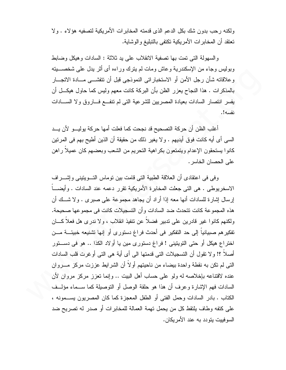ولكنه رحب بدون شك بكل الدعم الذي قدمته المخابر ات الأمريكية لتصفيه هؤلاء . ولا تعتقد أن المخابر ات الأمريكية تكتفي بالتبليغ والوشاية.

والسهولة التي تمت بها تصفية الانقلاب على بد ثلاثة : السادات وهبكل وضبابط وبوليس وجاء من الإسكندرية وعاش ومات لم يترك وراءه أي أثر يدل على شخصــــيته وعلاقاته شأن رجل الأمن أو الاستخباراتي النموذجي قبل أن نتفشـــي مـــادة الاتجـــار بالمذكرات . هذا النجاح يعزر الظن بأن البركة كانت معهم وليس كما حاول هيكـــل أن يفسر انتصار السادات بعيادة المصريين للشرعية التي لم تنفع فساروق ولا السلدات نفسه!.

أغلب الظن أن حركة التصحيح قد نجحت كما فعلت أمها حركة بوليب ولأن يب السي أي أيه كانت فوقٍ أيديهم . ولا يغير ذلك من حقيقة أن الذين أطيح بهم في المرتين كانوا يستحقون الإعدام ويتمتعون بكراهية التحريم من الشعب وبعضهم كان عميلا راهن على الحصان الخاسر .

و في في اعتقادي أن العلاقة الطبية التي قامت بين توماس التسويتيني وإشسر اف الاسخريوطي . هي التي جعلت المخابرة الأمريكية تقرر دعمه عند السادات . وأيضــــاً إرسال إشارة للسادات أنها معه إذا أراد أن يجاهد مجموعة على صبرى . ولا شــك أن هذه المجمو عة كانت تتحدث ضد السادات و أن التسجيلات كانت في مجمو عها صحيحة. ولكنهم كانوا غير قادرين على تدبير فضلاً عن نتفيذ انقلاب ، ولا ندر ي هل فعلاً كـــان تفكير هم صبيانياً إلى حد التفكير في أحدث فراغ دستورى أو إنها تشنيعه خبيئــــة مـــن اختراع هيكل أو حتى التويتيني ! فراغ دستوري مين يا أولاد الكذا .. هو في دســتور أصلاً ؟! و لا نقول أن التسجيلات التي قدمتها الى أي أية هي التي أو غربت قلب السادات التي لم تكن به نقطة و احدة بيضاء من ناحيتهم أو لاً أن الشر ايط عز ز ت مر كز ۖ مــــر و ان عنده لاقتناعه بإخلاصه له ولو على حساب أهل البيت .. وإنما نعزز مركز مروان لأن السادات فهم الإشارة وعرف أن هذا هو حلقة الوصل أو النوصيلة كما ســماء مؤلــف ا الكتاب . بادر السادات وحمل الفتي أو الطفل المعجزة كما كان المصريون بســـمونه ، على كتفه وطاف يلتقط كل من يحمل تهمة العمالة للمخابرات أو صدر له تصريح ضد السو فبيت بنو دد به عند الأمر بكان.